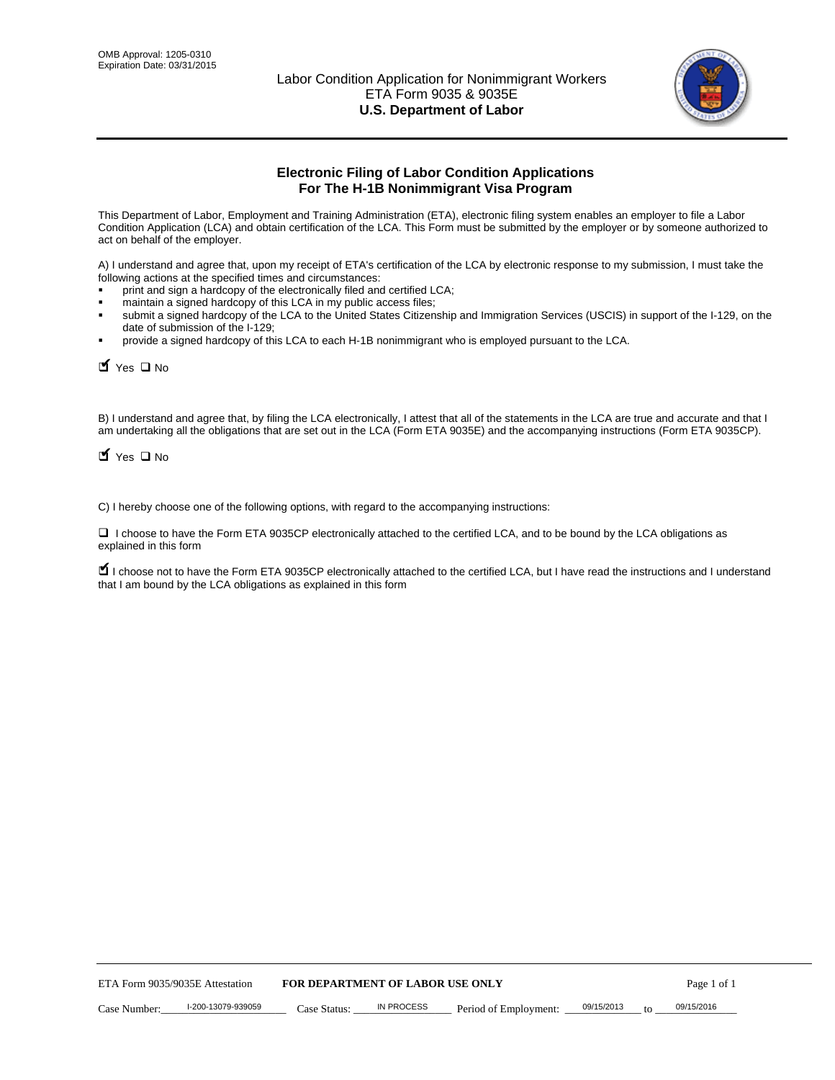

# **Electronic Filing of Labor Condition Applications For The H-1B Nonimmigrant Visa Program**

This Department of Labor, Employment and Training Administration (ETA), electronic filing system enables an employer to file a Labor Condition Application (LCA) and obtain certification of the LCA. This Form must be submitted by the employer or by someone authorized to act on behalf of the employer.

A) I understand and agree that, upon my receipt of ETA's certification of the LCA by electronic response to my submission, I must take the following actions at the specified times and circumstances:

- print and sign a hardcopy of the electronically filed and certified LCA;
- maintain a signed hardcopy of this LCA in my public access files;
- submit a signed hardcopy of the LCA to the United States Citizenship and Immigration Services (USCIS) in support of the I-129, on the date of submission of the I-129;
- provide a signed hardcopy of this LCA to each H-1B nonimmigrant who is employed pursuant to the LCA.

 $\blacksquare$  Yes  $\square$  No

B) I understand and agree that, by filing the LCA electronically, I attest that all of the statements in the LCA are true and accurate and that I am undertaking all the obligations that are set out in the LCA (Form ETA 9035E) and the accompanying instructions (Form ETA 9035CP).

 $\blacksquare$  Yes  $\square$  No

C) I hereby choose one of the following options, with regard to the accompanying instructions:

 I choose to have the Form ETA 9035CP electronically attached to the certified LCA, and to be bound by the LCA obligations as explained in this form

■ I choose not to have the Form ETA 9035CP electronically attached to the certified LCA, but I have read the instructions and I understand that I am bound by the LCA obligations as explained in this form

| <b>FOR DEPARTMENT OF LABOR USE ONLY</b><br>ETA Form 9035/9035E Attestation |                    |              | Page 1 of 1 |                       |            |            |
|----------------------------------------------------------------------------|--------------------|--------------|-------------|-----------------------|------------|------------|
| Case Number:                                                               | I-200-13079-939059 | Case Status: | IN PROCESS  | Period of Employment: | 09/15/2013 | 09/15/2016 |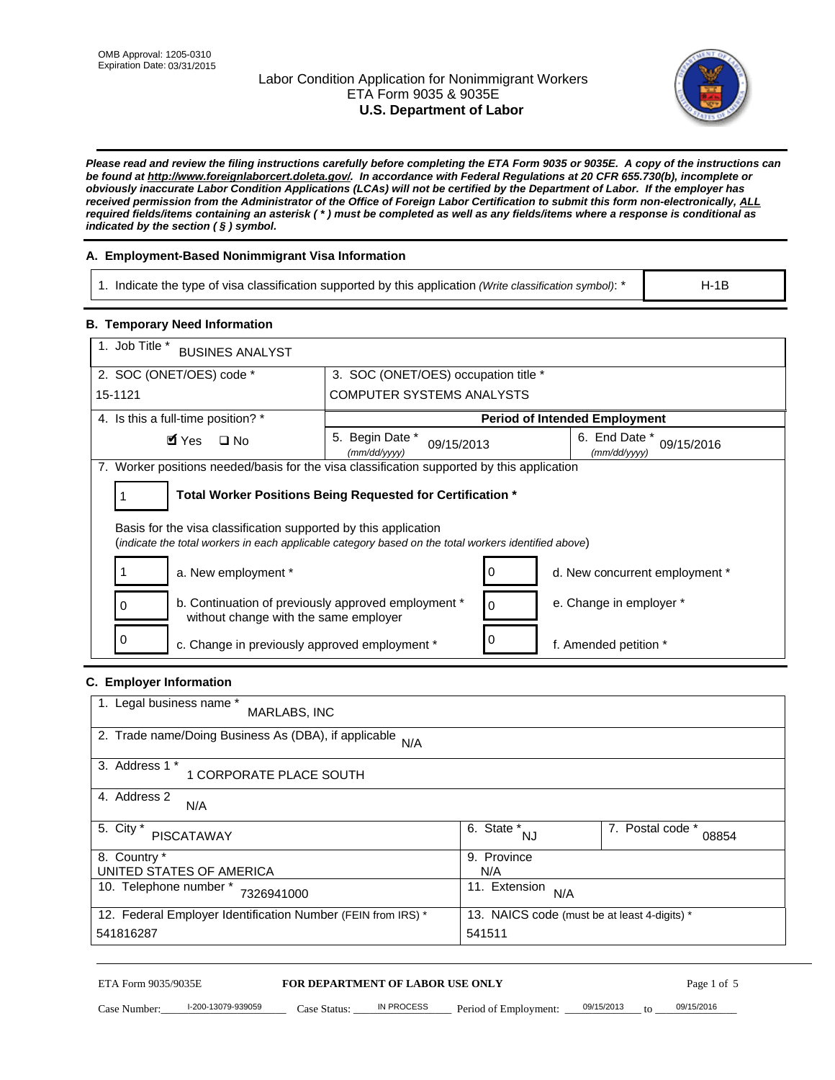## Labor Condition Application for Nonimmigrant Workers ETA Form 9035 & 9035E **U.S. Department of Labor**



*Please read and review the filing instructions carefully before completing the ETA Form 9035 or 9035E. A copy of the instructions can be found at http://www.foreignlaborcert.doleta.gov/. In accordance with Federal Regulations at 20 CFR 655.730(b), incomplete or obviously inaccurate Labor Condition Applications (LCAs) will not be certified by the Department of Labor. If the employer has received permission from the Administrator of the Office of Foreign Labor Certification to submit this form non-electronically, ALL required fields/items containing an asterisk ( \* ) must be completed as well as any fields/items where a response is conditional as indicated by the section ( § ) symbol.* 

## **A. Employment-Based Nonimmigrant Visa Information**

| 1. Indicate the type of visa classification supported by this application (Write classification symbol): * | $H-1B$ |
|------------------------------------------------------------------------------------------------------------|--------|
|                                                                                                            |        |
|                                                                                                            |        |

### **B. Temporary Need Information**

| 1. Job Title *<br><b>BUSINES ANALYST</b>                                                                                                                                |                                                            |                                             |                                      |  |  |  |  |
|-------------------------------------------------------------------------------------------------------------------------------------------------------------------------|------------------------------------------------------------|---------------------------------------------|--------------------------------------|--|--|--|--|
| 2. SOC (ONET/OES) code *                                                                                                                                                |                                                            | 3. SOC (ONET/OES) occupation title *        |                                      |  |  |  |  |
| 15-1121                                                                                                                                                                 | <b>COMPUTER SYSTEMS ANALYSTS</b>                           |                                             |                                      |  |  |  |  |
| 4. Is this a full-time position? *                                                                                                                                      |                                                            |                                             | <b>Period of Intended Employment</b> |  |  |  |  |
| $\blacksquare$ Yes<br>$\Box$ No                                                                                                                                         | Begin Date *<br>5.<br>09/15/2013<br>(mm/dd/yyyy)           | 6. End Date *<br>09/15/2016<br>(mm/dd/yyyy) |                                      |  |  |  |  |
| 7. Worker positions needed/basis for the visa classification supported by this application                                                                              |                                                            |                                             |                                      |  |  |  |  |
|                                                                                                                                                                         | Total Worker Positions Being Requested for Certification * |                                             |                                      |  |  |  |  |
| Basis for the visa classification supported by this application<br>(indicate the total workers in each applicable category based on the total workers identified above) |                                                            |                                             |                                      |  |  |  |  |
| a. New employment *<br>d. New concurrent employment *                                                                                                                   |                                                            |                                             |                                      |  |  |  |  |
| b. Continuation of previously approved employment *<br>0<br>without change with the same employer                                                                       | $\Omega$                                                   |                                             | e. Change in employer *              |  |  |  |  |
| 0<br>c. Change in previously approved employment *                                                                                                                      |                                                            |                                             | f. Amended petition *                |  |  |  |  |

## **C. Employer Information**

| 1. Legal business name *<br>MARLABS, INC                     |                                              |                           |
|--------------------------------------------------------------|----------------------------------------------|---------------------------|
| 2. Trade name/Doing Business As (DBA), if applicable<br>N/A  |                                              |                           |
| 3. Address 1 *<br>1 CORPORATE PLACE SOUTH                    |                                              |                           |
| 4. Address 2<br>N/A                                          |                                              |                           |
| 5. City *<br><b>PISCATAWAY</b>                               | 6. State *<br>NJ                             | 7. Postal code *<br>08854 |
| 8. Country *                                                 | 9. Province                                  |                           |
| UNITED STATES OF AMERICA                                     | N/A                                          |                           |
| 10. Telephone number *<br>7326941000                         | 11. Extension<br>N/A                         |                           |
| 12. Federal Employer Identification Number (FEIN from IRS) * | 13. NAICS code (must be at least 4-digits) * |                           |
| 541816287                                                    | 541511                                       |                           |

#### ETA Form 9035/9035E **FOR DEPARTMENT OF LABOR USE ONLY**

Case Number:  $\frac{1-200-13079-939059}{200}$  Case Status:  $\frac{1}{2}$  IN PROCESS Period of Employment:  $\frac{0.09/15/2013}{200}$  to  $\frac{0.09/15/2016}{200}$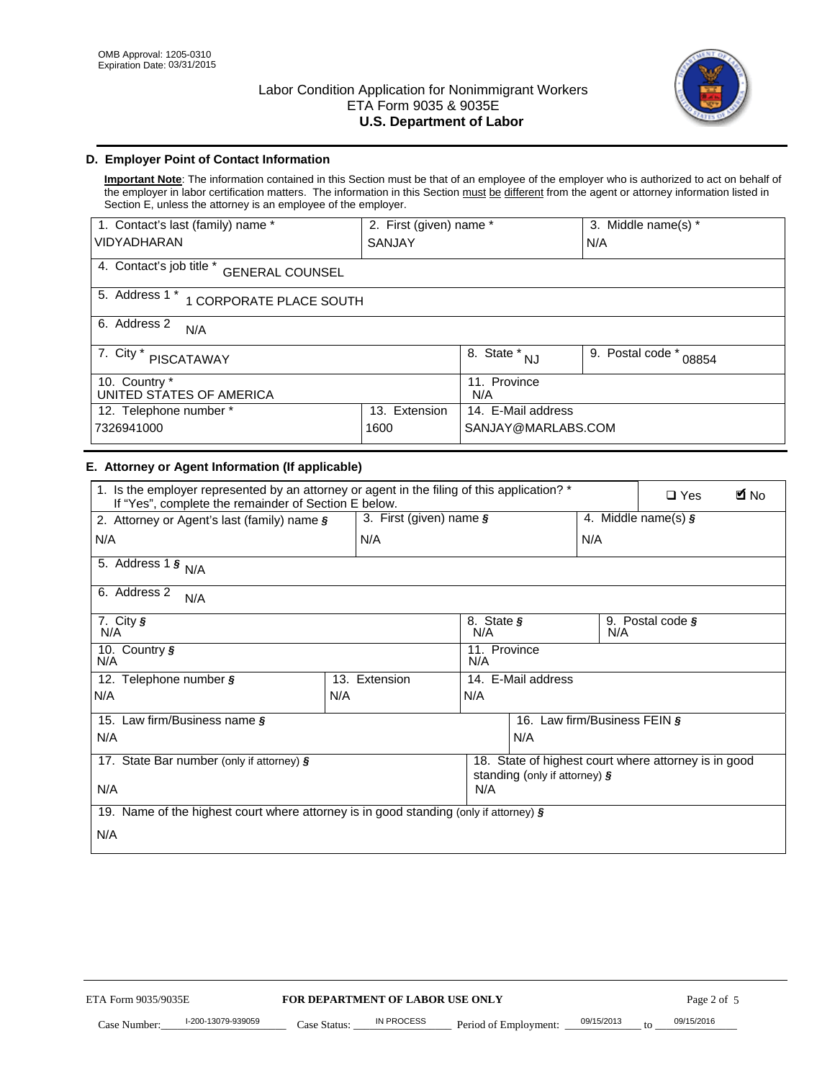

## **D. Employer Point of Contact Information**

**Important Note**: The information contained in this Section must be that of an employee of the employer who is authorized to act on behalf of the employer in labor certification matters. The information in this Section must be different from the agent or attorney information listed in Section E, unless the attorney is an employee of the employer.

| 1. Contact's last (family) name *                  | 2. First (given) name *         |                         | 3. Middle name(s) *       |  |  |  |
|----------------------------------------------------|---------------------------------|-------------------------|---------------------------|--|--|--|
| <b>VIDYADHARAN</b>                                 | SANJAY                          |                         | N/A                       |  |  |  |
| 4. Contact's job title *<br><b>GENERAL COUNSEL</b> |                                 |                         |                           |  |  |  |
| 5. Address 1 *<br>1 CORPORATE PLACE SOUTH          |                                 |                         |                           |  |  |  |
| 6. Address 2<br>N/A                                |                                 |                         |                           |  |  |  |
| 7. City $*$<br><b>PISCATAWAY</b>                   |                                 | 8. State *<br><b>NJ</b> | 9. Postal code *<br>08854 |  |  |  |
| 10. Country *<br>UNITED STATES OF AMERICA          |                                 | 11. Province<br>N/A     |                           |  |  |  |
| 12. Telephone number *                             | 14. E-Mail address<br>Extension |                         |                           |  |  |  |
| 7326941000<br>1600                                 |                                 | SANJAY@MARLABS.COM      |                           |  |  |  |

### **E. Attorney or Agent Information (If applicable)**

| 1. Is the employer represented by an attorney or agent in the filing of this application? *<br>If "Yes", complete the remainder of Section E below. |     |                            |                                   |                                  |     | <b>E</b> No<br>$\Box$ Yes                            |
|-----------------------------------------------------------------------------------------------------------------------------------------------------|-----|----------------------------|-----------------------------------|----------------------------------|-----|------------------------------------------------------|
| 2. Attorney or Agent's last (family) name $\S$                                                                                                      |     | 3. First (given) name $\S$ |                                   |                                  |     | 4. Middle name(s) $\zeta$                            |
| N/A                                                                                                                                                 |     | N/A                        |                                   |                                  | N/A |                                                      |
| 5. Address 1 $\frac{1}{5}$ N/A                                                                                                                      |     |                            |                                   |                                  |     |                                                      |
| 6. Address 2<br>N/A                                                                                                                                 |     |                            |                                   |                                  |     |                                                      |
| 7. City $\sqrt{s}$<br>N/A                                                                                                                           |     |                            | 8. State $\boldsymbol{\S}$<br>N/A |                                  | N/A | 9. Postal code $\zeta$                               |
| 10. Country §<br>N/A                                                                                                                                |     |                            | 11. Province<br>N/A               |                                  |     |                                                      |
| 12. Telephone number §                                                                                                                              |     | 13. Extension              |                                   | 14. E-Mail address               |     |                                                      |
| N/A                                                                                                                                                 | N/A |                            | N/A                               |                                  |     |                                                      |
| 15. Law firm/Business name §                                                                                                                        |     |                            |                                   | 16. Law firm/Business FEIN §     |     |                                                      |
| N/A                                                                                                                                                 |     |                            |                                   | N/A                              |     |                                                      |
| 17. State Bar number (only if attorney) $\frac{1}{2}$                                                                                               |     |                            |                                   |                                  |     | 18. State of highest court where attorney is in good |
| N/A                                                                                                                                                 |     |                            | N/A                               | standing (only if attorney) $\S$ |     |                                                      |
| 19. Name of the highest court where attorney is in good standing (only if attorney) $\frac{1}{2}$                                                   |     |                            |                                   |                                  |     |                                                      |
| N/A                                                                                                                                                 |     |                            |                                   |                                  |     |                                                      |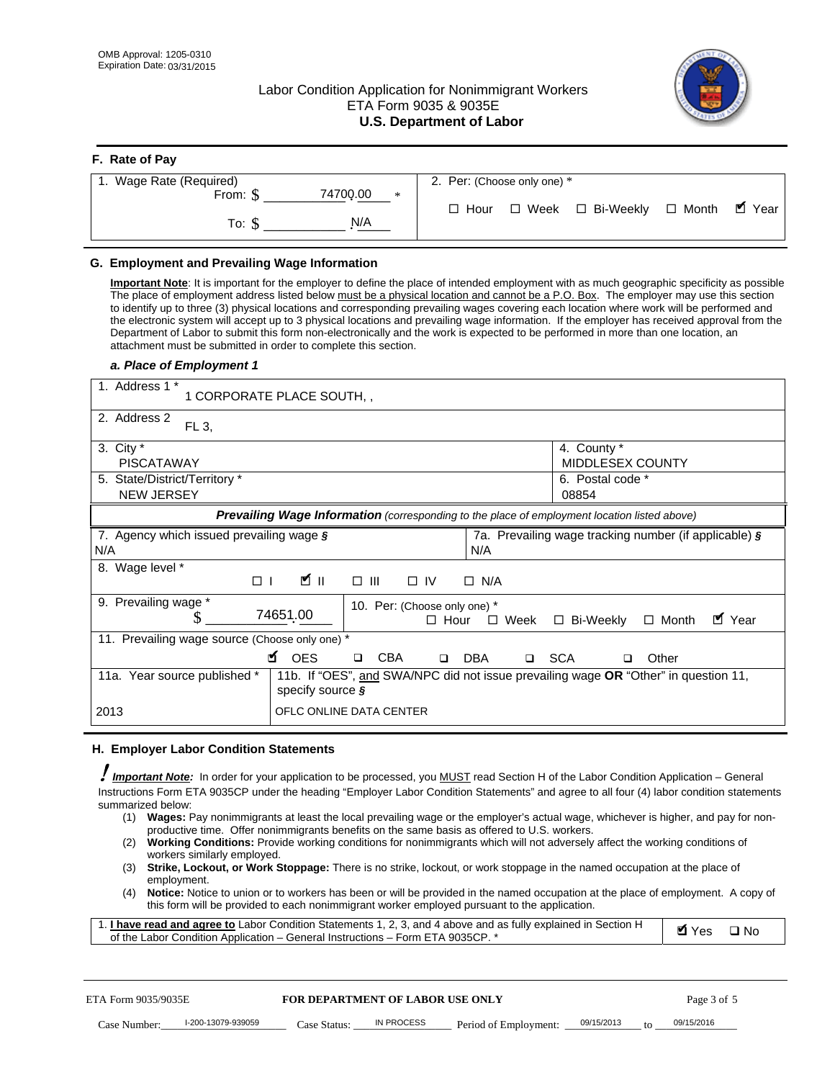## Labor Condition Application for Nonimmigrant Workers ETA Form 9035 & 9035E **U.S. Department of Labor**



| F. Rate of Pay              |                                                  |
|-----------------------------|--------------------------------------------------|
| 1. Wage Rate (Required)     | 2. Per: (Choose only one) *                      |
| 74700.00<br>From: \$<br>$*$ | □ Week □ Bi-Weekly □ Month ■ Year<br>$\Box$ Hour |
| N/A<br>To: S                |                                                  |

## **G. Employment and Prevailing Wage Information**

**Important Note**: It is important for the employer to define the place of intended employment with as much geographic specificity as possible The place of employment address listed below must be a physical location and cannot be a P.O. Box. The employer may use this section to identify up to three (3) physical locations and corresponding prevailing wages covering each location where work will be performed and the electronic system will accept up to 3 physical locations and prevailing wage information. If the employer has received approval from the Department of Labor to submit this form non-electronically and the work is expected to be performed in more than one location, an attachment must be submitted in order to complete this section.

#### *a. Place of Employment 1*

| 1. Address 1 *<br>1 CORPORATE PLACE SOUTH,            |                                                                                                                      |  |  |  |  |  |  |
|-------------------------------------------------------|----------------------------------------------------------------------------------------------------------------------|--|--|--|--|--|--|
| 2. Address 2<br>FL 3,                                 |                                                                                                                      |  |  |  |  |  |  |
| 3. City $*$<br><b>PISCATAWAY</b>                      | 4. County *<br><b>MIDDLESEX COUNTY</b>                                                                               |  |  |  |  |  |  |
| 5. State/District/Territory *<br><b>NEW JERSEY</b>    | 6. Postal code *<br>08854                                                                                            |  |  |  |  |  |  |
|                                                       | <b>Prevailing Wage Information</b> (corresponding to the place of employment location listed above)                  |  |  |  |  |  |  |
| 7. Agency which issued prevailing wage $\zeta$<br>N/A | 7a. Prevailing wage tracking number (if applicable) §<br>N/A                                                         |  |  |  |  |  |  |
| Wage level *<br>8.<br>$\Box$                          | ∐ ש<br>$\square$ $\square$<br>$\Box$ IV<br>$\Box$ N/A                                                                |  |  |  |  |  |  |
| Prevailing wage *<br>9.                               | 10. Per: (Choose only one) *<br>74651.00<br>■ Year<br>$\Box$ Week<br>$\Box$ Bi-Weekly<br>$\Box$ Month<br>$\Box$ Hour |  |  |  |  |  |  |
| 11. Prevailing wage source (Choose only one) *        |                                                                                                                      |  |  |  |  |  |  |
| <b>N</b> OES                                          | <b>CBA</b><br><b>SCA</b><br><b>DBA</b><br>Other<br>$\Box$<br>$\Box$<br>$\Box$<br>□                                   |  |  |  |  |  |  |
| 11a. Year source published *                          | 11b. If "OES", and SWA/NPC did not issue prevailing wage <b>OR</b> "Other" in question 11,<br>specify source $\zeta$ |  |  |  |  |  |  |
| 2013                                                  | OFLC ONLINE DATA CENTER                                                                                              |  |  |  |  |  |  |

#### **H. Employer Labor Condition Statements**

! *Important Note:* In order for your application to be processed, you MUST read Section H of the Labor Condition Application – General Instructions Form ETA 9035CP under the heading "Employer Labor Condition Statements" and agree to all four (4) labor condition statements summarized below:

- (1) **Wages:** Pay nonimmigrants at least the local prevailing wage or the employer's actual wage, whichever is higher, and pay for nonproductive time. Offer nonimmigrants benefits on the same basis as offered to U.S. workers.
- (2) **Working Conditions:** Provide working conditions for nonimmigrants which will not adversely affect the working conditions of workers similarly employed.
- (3) **Strike, Lockout, or Work Stoppage:** There is no strike, lockout, or work stoppage in the named occupation at the place of employment.
- (4) **Notice:** Notice to union or to workers has been or will be provided in the named occupation at the place of employment. A copy of this form will be provided to each nonimmigrant worker employed pursuant to the application.

| 1. I have read and agree to Labor Condition Statements 1, 2, 3, and 4 above and as fully explained in Section H | Myes ⊡No |  |
|-----------------------------------------------------------------------------------------------------------------|----------|--|
| of the Labor Condition Application – General Instructions – Form ETA 9035CP. *                                  |          |  |

| ETA Form 9035/9035E |                    | <b>FOR DEPARTMENT OF LABOR USE ONLY</b> |            |                                    |  | Page 3 of 5 |            |  |
|---------------------|--------------------|-----------------------------------------|------------|------------------------------------|--|-------------|------------|--|
| Case Number:        | l-200-13079-939059 | Case Status:                            | IN PROCESS | Period of Employment: $09/15/2013$ |  | $f \cap$    | 09/15/2016 |  |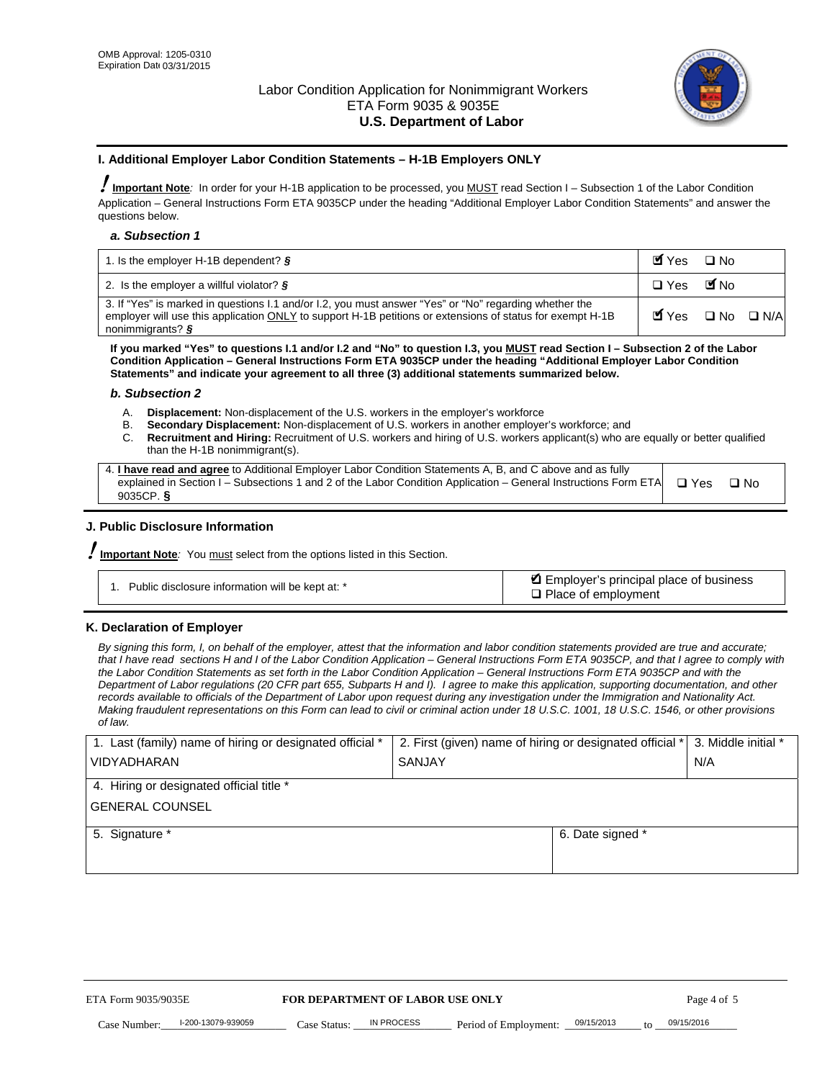

### **I. Additional Employer Labor Condition Statements – H-1B Employers ONLY**

!**Important Note***:* In order for your H-1B application to be processed, you MUST read Section I – Subsection 1 of the Labor Condition Application – General Instructions Form ETA 9035CP under the heading "Additional Employer Labor Condition Statements" and answer the questions below.

#### *a. Subsection 1*

| 1. Is the employer H-1B dependent? $\S$                                                                                                                                                                                                 | Myes                                          | $\Box$ No              |  |
|-----------------------------------------------------------------------------------------------------------------------------------------------------------------------------------------------------------------------------------------|-----------------------------------------------|------------------------|--|
| 2. Is the employer a willful violator? $\frac{1}{2}$                                                                                                                                                                                    | $\Box$ Yes                                    | <b>M</b> <sub>No</sub> |  |
| 3. If "Yes" is marked in questions 1.1 and/or 1.2, you must answer "Yes" or "No" regarding whether the<br>employer will use this application ONLY to support H-1B petitions or extensions of status for exempt H-1B<br>nonimmigrants? § | $\blacksquare$ Yes $\square$ No $\square$ N/A |                        |  |

**If you marked "Yes" to questions I.1 and/or I.2 and "No" to question I.3, you MUST read Section I – Subsection 2 of the Labor Condition Application – General Instructions Form ETA 9035CP under the heading "Additional Employer Labor Condition Statements" and indicate your agreement to all three (3) additional statements summarized below.** 

#### *b. Subsection 2*

- A. **Displacement:** Non-displacement of the U.S. workers in the employer's workforce
- B. **Secondary Displacement:** Non-displacement of U.S. workers in another employer's workforce; and
- C. **Recruitment and Hiring:** Recruitment of U.S. workers and hiring of U.S. workers applicant(s) who are equally or better qualified than the H-1B nonimmigrant(s).

| 4. I have read and agree to Additional Employer Labor Condition Statements A, B, and C above and as fully                  |      |
|----------------------------------------------------------------------------------------------------------------------------|------|
| explained in Section I – Subsections 1 and 2 of the Labor Condition Application – General Instructions Form ETA $\Box$ Yes | ∩ N∩ |
| 9035CP. $\delta$                                                                                                           |      |

## **J. Public Disclosure Information**

!**Important Note***:* You must select from the options listed in this Section.

| Public disclosure information will be kept at: * | Employer's principal place of business<br>$\Box$ Place of employment |
|--------------------------------------------------|----------------------------------------------------------------------|
|--------------------------------------------------|----------------------------------------------------------------------|

#### **K. Declaration of Employer**

*By signing this form, I, on behalf of the employer, attest that the information and labor condition statements provided are true and accurate;*  that I have read sections H and I of the Labor Condition Application – General Instructions Form ETA 9035CP, and that I agree to comply with *the Labor Condition Statements as set forth in the Labor Condition Application – General Instructions Form ETA 9035CP and with the Department of Labor regulations (20 CFR part 655, Subparts H and I). I agree to make this application, supporting documentation, and other records available to officials of the Department of Labor upon request during any investigation under the Immigration and Nationality Act. Making fraudulent representations on this Form can lead to civil or criminal action under 18 U.S.C. 1001, 18 U.S.C. 1546, or other provisions of law.* 

| 1. Last (family) name of hiring or designated official * | 2. First (given) name of hiring or designated official *   3. Middle initial * |                  |     |
|----------------------------------------------------------|--------------------------------------------------------------------------------|------------------|-----|
| <b>VIDYADHARAN</b>                                       | SANJAY                                                                         |                  | N/A |
| 4. Hiring or designated official title *                 |                                                                                |                  |     |
| <b>GENERAL COUNSEL</b>                                   |                                                                                |                  |     |
| 5. Signature *                                           |                                                                                | 6. Date signed * |     |
|                                                          |                                                                                |                  |     |
|                                                          |                                                                                |                  |     |